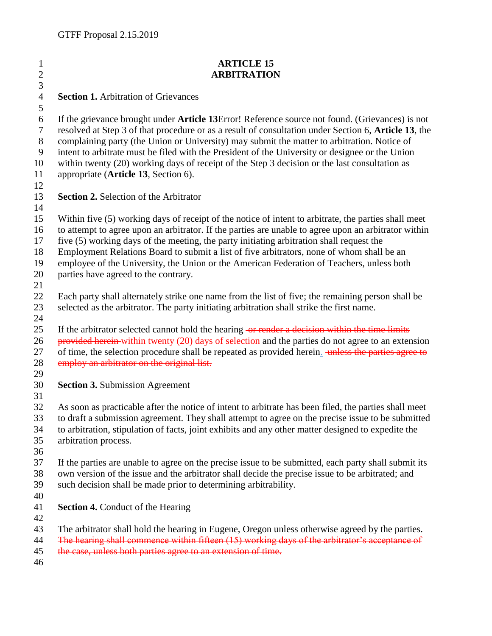## **ARTICLE 15 ARBITRATION Section 1.** Arbitration of Grievances If the grievance brought under **Article 13**Error! Reference source not found. (Grievances) is not resolved at Step 3 of that procedure or as a result of consultation under Section 6, **Article 13**, the complaining party (the Union or University) may submit the matter to arbitration. Notice of intent to arbitrate must be filed with the President of the University or designee or the Union within twenty (20) working days of receipt of the Step 3 decision or the last consultation as appropriate (**Article 13**, Section 6). **Section 2.** Selection of the Arbitrator Within five (5) working days of receipt of the notice of intent to arbitrate, the parties shall meet to attempt to agree upon an arbitrator. If the parties are unable to agree upon an arbitrator within five (5) working days of the meeting, the party initiating arbitration shall request the Employment Relations Board to submit a list of five arbitrators, none of whom shall be an employee of the University, the Union or the American Federation of Teachers, unless both parties have agreed to the contrary. Each party shall alternately strike one name from the list of five; the remaining person shall be selected as the arbitrator. The party initiating arbitration shall strike the first name. 25 If the arbitrator selected cannot hold the hearing or render a decision within the time limits 26 provided herein within twenty (20) days of selection and the parties do not agree to an extension 27 of time, the selection procedure shall be repeated as provided herein. unless the parties agree to 28 employ an arbitrator on the original list. **Section 3.** Submission Agreement As soon as practicable after the notice of intent to arbitrate has been filed, the parties shall meet to draft a submission agreement. They shall attempt to agree on the precise issue to be submitted to arbitration, stipulation of facts, joint exhibits and any other matter designed to expedite the arbitration process. If the parties are unable to agree on the precise issue to be submitted, each party shall submit its own version of the issue and the arbitrator shall decide the precise issue to be arbitrated; and such decision shall be made prior to determining arbitrability. **Section 4.** Conduct of the Hearing The arbitrator shall hold the hearing in Eugene, Oregon unless otherwise agreed by the parties. The hearing shall commence within fifteen (15) working days of the arbitrator's acceptance of 45 the case, unless both parties agree to an extension of time.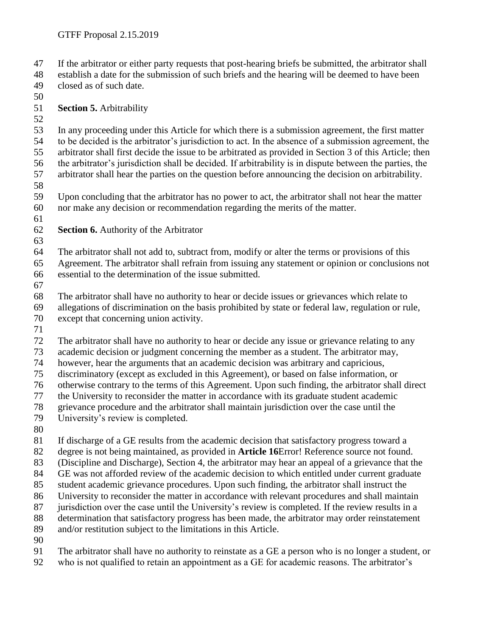If the arbitrator or either party requests that post-hearing briefs be submitted, the arbitrator shall

 establish a date for the submission of such briefs and the hearing will be deemed to have been closed as of such date.

**Section 5.** Arbitrability

 In any proceeding under this Article for which there is a submission agreement, the first matter to be decided is the arbitrator's jurisdiction to act. In the absence of a submission agreement, the arbitrator shall first decide the issue to be arbitrated as provided in Section 3 of this Article; then the arbitrator's jurisdiction shall be decided. If arbitrability is in dispute between the parties, the arbitrator shall hear the parties on the question before announcing the decision on arbitrability.

 Upon concluding that the arbitrator has no power to act, the arbitrator shall not hear the matter nor make any decision or recommendation regarding the merits of the matter.

- 
- **Section 6.** Authority of the Arbitrator

 The arbitrator shall not add to, subtract from, modify or alter the terms or provisions of this Agreement. The arbitrator shall refrain from issuing any statement or opinion or conclusions not essential to the determination of the issue submitted.

 The arbitrator shall have no authority to hear or decide issues or grievances which relate to allegations of discrimination on the basis prohibited by state or federal law, regulation or rule, except that concerning union activity.

The arbitrator shall have no authority to hear or decide any issue or grievance relating to any

academic decision or judgment concerning the member as a student. The arbitrator may,

however, hear the arguments that an academic decision was arbitrary and capricious,

discriminatory (except as excluded in this Agreement), or based on false information, or

otherwise contrary to the terms of this Agreement. Upon such finding, the arbitrator shall direct

the University to reconsider the matter in accordance with its graduate student academic

grievance procedure and the arbitrator shall maintain jurisdiction over the case until the

University's review is completed.

If discharge of a GE results from the academic decision that satisfactory progress toward a

degree is not being maintained, as provided in **Article 16**Error! Reference source not found.

(Discipline and Discharge), Section 4, the arbitrator may hear an appeal of a grievance that the

GE was not afforded review of the academic decision to which entitled under current graduate

student academic grievance procedures. Upon such finding, the arbitrator shall instruct the

University to reconsider the matter in accordance with relevant procedures and shall maintain

87 jurisdiction over the case until the University's review is completed. If the review results in a

determination that satisfactory progress has been made, the arbitrator may order reinstatement

and/or restitution subject to the limitations in this Article.

The arbitrator shall have no authority to reinstate as a GE a person who is no longer a student, or

who is not qualified to retain an appointment as a GE for academic reasons. The arbitrator's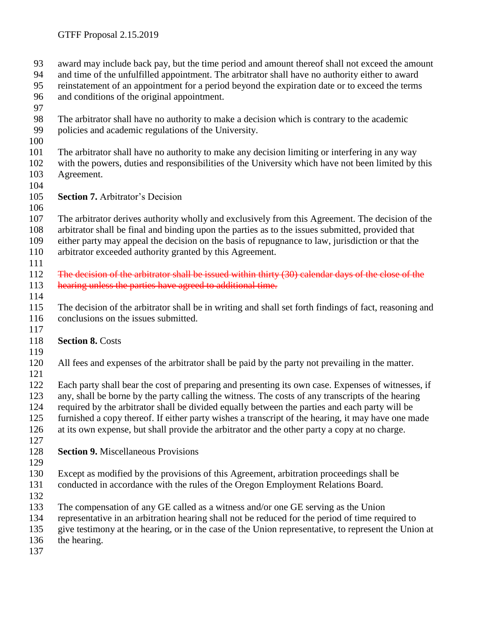award may include back pay, but the time period and amount thereof shall not exceed the amount and time of the unfulfilled appointment. The arbitrator shall have no authority either to award reinstatement of an appointment for a period beyond the expiration date or to exceed the terms and conditions of the original appointment. The arbitrator shall have no authority to make a decision which is contrary to the academic policies and academic regulations of the University. The arbitrator shall have no authority to make any decision limiting or interfering in any way with the powers, duties and responsibilities of the University which have not been limited by this Agreement. **Section 7.** Arbitrator's Decision The arbitrator derives authority wholly and exclusively from this Agreement. The decision of the arbitrator shall be final and binding upon the parties as to the issues submitted, provided that either party may appeal the decision on the basis of repugnance to law, jurisdiction or that the arbitrator exceeded authority granted by this Agreement. 112 The decision of the arbitrator shall be issued within thirty (30) calendar days of the close of the 113 hearing unless the parties have agreed to additional time. The decision of the arbitrator shall be in writing and shall set forth findings of fact, reasoning and 116 conclusions on the issues submitted. **Section 8.** Costs All fees and expenses of the arbitrator shall be paid by the party not prevailing in the matter. Each party shall bear the cost of preparing and presenting its own case. Expenses of witnesses, if any, shall be borne by the party calling the witness. The costs of any transcripts of the hearing required by the arbitrator shall be divided equally between the parties and each party will be furnished a copy thereof. If either party wishes a transcript of the hearing, it may have one made at its own expense, but shall provide the arbitrator and the other party a copy at no charge. **Section 9.** Miscellaneous Provisions Except as modified by the provisions of this Agreement, arbitration proceedings shall be conducted in accordance with the rules of the Oregon Employment Relations Board. The compensation of any GE called as a witness and/or one GE serving as the Union representative in an arbitration hearing shall not be reduced for the period of time required to give testimony at the hearing, or in the case of the Union representative, to represent the Union at the hearing.